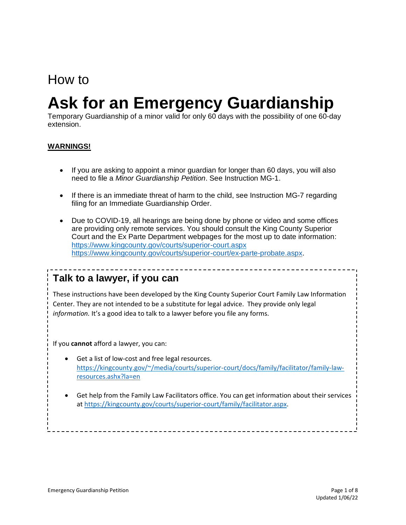## How to

# **Ask for an Emergency Guardianship**

Temporary Guardianship of a minor valid for only 60 days with the possibility of one 60-day extension.

#### **WARNINGS!**

- If you are asking to appoint a minor guardian for longer than 60 days, you will also need to file a *Minor Guardianship Petition*. See Instruction MG-1.
- If there is an immediate threat of harm to the child, see Instruction MG-7 regarding filing for an Immediate Guardianship Order.
- Due to COVID-19, all hearings are being done by phone or video and some offices are providing only remote services. You should consult the King County Superior Court and the Ex Parte Department webpages for the most up to date information: <https://www.kingcounty.gov/courts/superior-court.aspx> [https://www.kingcounty.gov/courts/superior-court/ex-parte-probate.aspx.](https://www.kingcounty.gov/courts/superior-court/ex-parte-probate.aspx)

## **Talk to a lawyer, if you can**

These instructions have been developed by the King County Superior Court Family Law Information Center. They are not intended to be a substitute for legal advice. They provide only legal *information.* It's a good idea to talk to a lawyer before you file any forms.

If you **cannot** afford a lawyer, you can:

**Step 1: Fill out these forms.** 

- Get a list of low-cost and free legal resources. [https://kingcounty.gov/~/media/courts/superior-court/docs/family/facilitator/family-law](https://kingcounty.gov/~/media/courts/superior-court/docs/family/facilitator/family-law-resources.ashx?la=en)[resources.ashx?la=en](https://kingcounty.gov/~/media/courts/superior-court/docs/family/facilitator/family-law-resources.ashx?la=en)
- **Process:** and the set help from the Family Law Facilitators office. You can get information<br>at [https://kingcounty.gov/courts/superior-court/family/facilitator.aspx.](https://kingcounty.gov/courts/superior-court/family/facilitator.aspx) • Get help from the Family Law Facilitators office. You can get information about their services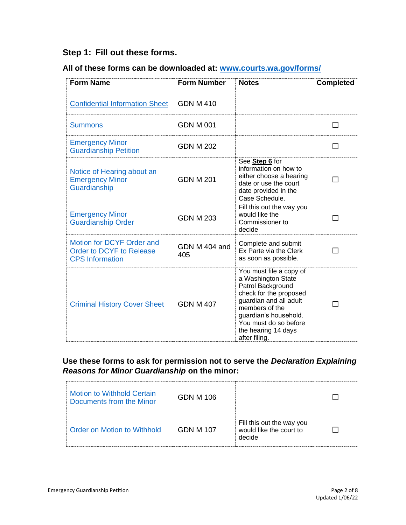## **Step 1: Fill out these forms.**

## **All of these forms can be downloaded at: [www.courts.wa.gov/forms/](http://www.courts.wa.gov/forms/)**

| <b>Form Name</b>                                                                | <b>Form Number</b>   | <b>Notes</b>                                                                                                                                                                                                                       | <b>Completed</b>         |
|---------------------------------------------------------------------------------|----------------------|------------------------------------------------------------------------------------------------------------------------------------------------------------------------------------------------------------------------------------|--------------------------|
| <b>Confidential Information Sheet</b>                                           | <b>GDN M 410</b>     |                                                                                                                                                                                                                                    |                          |
| <b>Summons</b>                                                                  | <b>GDN M 001</b>     |                                                                                                                                                                                                                                    |                          |
| <b>Emergency Minor</b><br><b>Guardianship Petition</b>                          | <b>GDN M 202</b>     |                                                                                                                                                                                                                                    |                          |
| Notice of Hearing about an<br><b>Emergency Minor</b><br>Guardianship            | <b>GDN M 201</b>     | See Step 6 for<br>information on how to<br>either choose a hearing<br>date or use the court<br>date provided in the<br>Case Schedule.                                                                                              | $\overline{\phantom{a}}$ |
| <b>Emergency Minor</b><br><b>Guardianship Order</b>                             | <b>GDN M 203</b>     | Fill this out the way you<br>would like the<br>Commissioner to<br>decide                                                                                                                                                           |                          |
| Motion for DCYF Order and<br>Order to DCYF to Release<br><b>CPS</b> Information | GDN M 404 and<br>405 | Complete and submit<br>Ex Parte via the Clerk<br>as soon as possible.                                                                                                                                                              |                          |
| <b>Criminal History Cover Sheet</b>                                             | <b>GDN M 407</b>     | You must file a copy of<br>a Washington State<br>Patrol Background<br>check for the proposed<br>guardian and all adult<br>members of the<br>guardian's household.<br>You must do so before<br>the hearing 14 days<br>after filing. |                          |

#### **Use these forms to ask for permission not to serve the** *Declaration Explaining Reasons for Minor Guardianship* **on the minor:**

| <b>Motion to Withhold Certain</b><br>Documents from the Minor | GDN M 106 |                                                                |  |
|---------------------------------------------------------------|-----------|----------------------------------------------------------------|--|
| Order on Motion to Withhold                                   | GDN M 107 | Fill this out the way you<br>would like the court to<br>decide |  |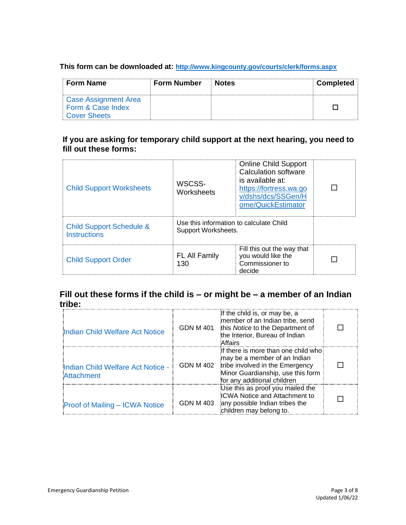#### **This form can be downloaded at: <http://www.kingcounty.gov/courts/clerk/forms.aspx>**

| <b>Form Name</b>     | <b>Form Number</b> | ∣ Notes | <b>Completed</b> |
|----------------------|--------------------|---------|------------------|
| Case Assignment Area |                    |         |                  |
| Form & Case Index    |                    |         |                  |
| Cover Sheets         |                    |         |                  |

## **If you are asking for temporary child support at the next hearing, you need to fill out these forms:**

| <b>Child Support Worksheets</b>                            | WSCSS-<br>Worksheets                                           | <b>Online Child Support</b><br>Calculation software<br>is available at:<br>https://fortress.wa.go<br>v/dshs/dcs/SSGen/H<br>ome/QuickEstimator |  |
|------------------------------------------------------------|----------------------------------------------------------------|-----------------------------------------------------------------------------------------------------------------------------------------------|--|
| <b>Child Support Schedule &amp;</b><br><b>Instructions</b> | Use this information to calculate Child<br>Support Worksheets. |                                                                                                                                               |  |
| <b>Child Support Order</b>                                 | <b>FL All Family</b><br>130                                    | Fill this out the way that<br>you would like the<br>Commissioner to<br>decide                                                                 |  |

## **Fill out these forms if the child is – or might be – a member of an Indian tribe:**

| Indian Child Welfare Act Notice                 | <b>GDN M 401</b> | If the child is, or may be, a<br>imember of an Indian tribe, send<br>this Notice to the Department of<br>the Interior, Bureau of Indian<br>Affairs                         |  |
|-------------------------------------------------|------------------|----------------------------------------------------------------------------------------------------------------------------------------------------------------------------|--|
| Indian Child Welfare Act Notice -<br>Attachment | <b>GDN M 402</b> | if there is more than one child who<br>may be a member of an Indian<br>tribe involved in the Emergency<br>Minor Guardianship, use this form<br>for any additional children |  |
| Proof of Mailing - ICWA Notice                  | <b>GDN M 403</b> | Use this as proof you mailed the<br><b>ICWA Notice and Attachment to</b><br>any possible Indian tribes the<br>children may belong to.                                      |  |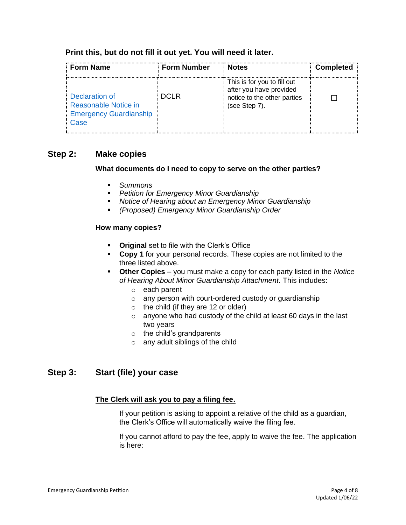#### **Print this, but do not fill it out yet. You will need it later.**

| <b>Form Name</b>                                                                | <b>Form Number</b> | <b>Notes</b>                                                                                           | <b>Completed</b> |
|---------------------------------------------------------------------------------|--------------------|--------------------------------------------------------------------------------------------------------|------------------|
| Declaration of<br>Reasonable Notice in<br><b>Emergency Guardianship</b><br>Case | <b>DCLR</b>        | This is for you to fill out<br>after you have provided<br>notice to the other parties<br>(see Step 7). |                  |

## **Step 2: Make copies**

#### **What documents do I need to copy to serve on the other parties?**

- *Summons*
- *Petition for Emergency Minor Guardianship*
- *Notice of Hearing about an Emergency Minor Guardianship*
- *(Proposed) Emergency Minor Guardianship Order*

#### **How many copies?**

- **Original** set to file with the Clerk's Office
- **Copy 1** for your personal records. These copies are not limited to the three listed above.
- **Other Copies**  you must make a copy for each party listed in the *Notice of Hearing About Minor Guardianship Attachment.* This includes:
	- o each parent
	- o any person with court-ordered custody or guardianship
	- $\circ$  the child (if they are 12 or older)
	- $\circ$  anyone who had custody of the child at least 60 days in the last two years
	- $\circ$  the child's grandparents
	- o any adult siblings of the child

## **Step 3: Start (file) your case**

#### **The Clerk will ask you to pay a filing fee.**

If your petition is asking to appoint a relative of the child as a guardian, the Clerk's Office will automatically waive the filing fee.

If you cannot afford to pay the fee, apply to waive the fee. The application is here: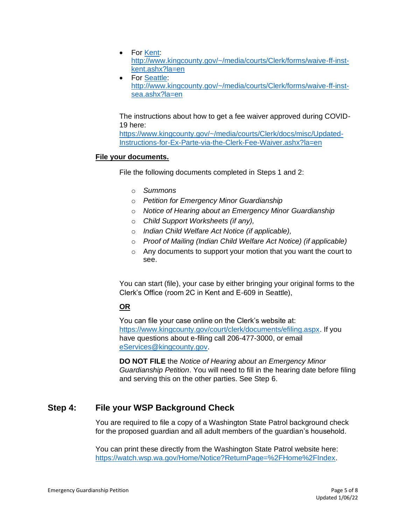- For [Kent:](file://///scstore/common/ERCM-FLIC/Instructions%20&%20Forms/AUG2020%20FLIC%20INSTRUCTION%20REVIEW/Kent) [http://www.kingcounty.gov/~/media/courts/Clerk/forms/waive-ff-inst](http://www.kingcounty.gov/~/media/courts/Clerk/forms/waive-ff-inst-kent.ashx?la=en)[kent.ashx?la=en](http://www.kingcounty.gov/~/media/courts/Clerk/forms/waive-ff-inst-kent.ashx?la=en)
- For [Seattle:](file://///scstore/common/ERCM-FLIC/Instructions%20&%20Forms/AUG2020%20FLIC%20INSTRUCTION%20REVIEW/Seattle) [http://www.kingcounty.gov/~/media/courts/Clerk/forms/waive-ff-inst](http://www.kingcounty.gov/~/media/courts/Clerk/forms/waive-ff-inst-sea.ashx?la=en)[sea.ashx?la=en](http://www.kingcounty.gov/~/media/courts/Clerk/forms/waive-ff-inst-sea.ashx?la=en)

The instructions about how to get a fee waiver approved during COVID-19 here:

[https://www.kingcounty.gov/~/media/courts/Clerk/docs/misc/Updated-](https://www.kingcounty.gov/~/media/courts/Clerk/docs/misc/Updated-Instructions-for-Ex-Parte-via-the-Clerk-Fee-Waiver.ashx?la=en)[Instructions-for-Ex-Parte-via-the-Clerk-Fee-Waiver.ashx?la=en](https://www.kingcounty.gov/~/media/courts/Clerk/docs/misc/Updated-Instructions-for-Ex-Parte-via-the-Clerk-Fee-Waiver.ashx?la=en)

#### **File your documents.**

File the following documents completed in Steps 1 and 2:

- o *Summons*
- o *Petition for Emergency Minor Guardianship*
- o *Notice of Hearing about an Emergency Minor Guardianship*
- o *Child Support Worksheets (if any),*
- o *Indian Child Welfare Act Notice (if applicable),*
- o *Proof of Mailing (Indian Child Welfare Act Notice) (if applicable)*
- o Any documents to support your motion that you want the court to see.

You can start (file), your case by either bringing your original forms to the Clerk's Office (room 2C in Kent and E-609 in Seattle),

#### **OR**

You can file your case online on the Clerk's website at: [https://www.kingcounty.gov/court/clerk/documents/efiling.aspx.](https://www.kingcounty.gov/court/clerk/documents/efiling.aspx) If you have questions about e-filing call 206-477-3000, or email [eServices@kingcounty.gov.](mailto:eServices@kingcounty.gov)

**DO NOT FILE** the *Notice of Hearing about an Emergency Minor Guardianship Petition*. You will need to fill in the hearing date before filing and serving this on the other parties. See Step 6.

## **Step 4: File your WSP Background Check**

You are required to file a copy of a Washington State Patrol background check for the proposed guardian and all adult members of the guardian's household.

You can print these directly from the Washington State Patrol website here: [https://watch.wsp.wa.gov/Home/Notice?ReturnPage=%2FHome%2FIndex.](https://watch.wsp.wa.gov/Home/Notice?ReturnPage=%2FHome%2FIndex)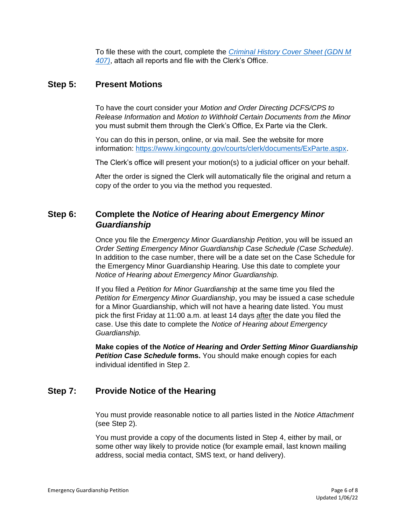To file these with the court, complete the *[Criminal History Cover Sheet \(GDN M](https://www.courts.wa.gov/forms/documents/GDN%20M%20407%20Criminal%20History%20Record%20Cover%20Sheet.pdf)  [407\)](https://www.courts.wa.gov/forms/documents/GDN%20M%20407%20Criminal%20History%20Record%20Cover%20Sheet.pdf)*, attach all reports and file with the Clerk's Office.

### **Step 5: Present Motions**

To have the court consider your *Motion and Order Directing DCFS/CPS to Release Information* and *Motion to Withhold Certain Documents from the Minor* you must submit them through the Clerk's Office, Ex Parte via the Clerk.

You can do this in person, online, or via mail. See the website for more information: [https://www.kingcounty.gov/courts/clerk/documents/ExParte.aspx.](https://www.kingcounty.gov/courts/clerk/documents/ExParte.aspx)

The Clerk's office will present your motion(s) to a judicial officer on your behalf.

After the order is signed the Clerk will automatically file the original and return a copy of the order to you via the method you requested.

## **Step 6: Complete the** *Notice of Hearing about Emergency Minor Guardianship*

Once you file the *Emergency Minor Guardianship Petition*, you will be issued an *Order Setting Emergency Minor Guardianship Case Schedule (Case Schedule)*. In addition to the case number, there will be a date set on the Case Schedule for the Emergency Minor Guardianship Hearing. Use this date to complete your *Notice of Hearing about Emergency Minor Guardianship.*

If you filed a *Petition for Minor Guardianship* at the same time you filed the *Petition for Emergency Minor Guardianship*, you may be issued a case schedule for a Minor Guardianship, which will not have a hearing date listed. You must pick the first Friday at 11:00 a.m. at least 14 days after the date you filed the case. Use this date to complete the *Notice of Hearing about Emergency Guardianship.*

**Make copies of the** *Notice of Hearing* **and** *Order Setting Minor Guardianship*  **Petition Case Schedule forms.** You should make enough copies for each individual identified in Step 2.

## **Step 7: Provide Notice of the Hearing**

You must provide reasonable notice to all parties listed in the *Notice Attachment* (see Step 2)*.* 

You must provide a copy of the documents listed in Step 4, either by mail, or some other way likely to provide notice (for example email, last known mailing address, social media contact, SMS text, or hand delivery).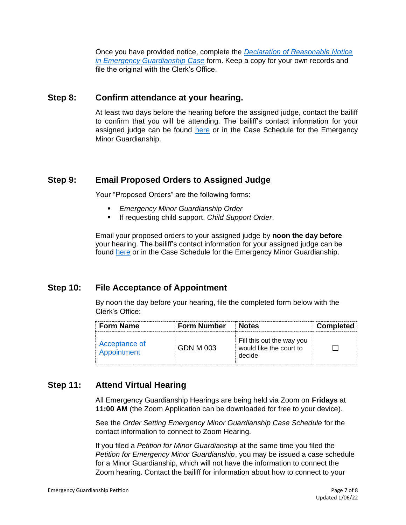Once you have provided notice, complete the *[Declaration of Reasonable Notice](https://kingcounty.gov/~/media/courts/superior-court/docs/ex-parte-probate/guardianship-forms/UGA%20implementation/Declaration-of-Notice-EMG-Case.ashx?la=en)  [in Emergency Guardianship Case](https://kingcounty.gov/~/media/courts/superior-court/docs/ex-parte-probate/guardianship-forms/UGA%20implementation/Declaration-of-Notice-EMG-Case.ashx?la=en)* form. Keep a copy for your own records and file the original with the Clerk's Office.

## **Step 8: Confirm attendance at your hearing.**

At least two days before the hearing before the assigned judge, contact the bailiff to confirm that you will be attending. The bailiff's contact information for your assigned judge can be found [here](https://kingcounty.gov/courts/superior-court/directory/judges.aspx) or in the Case Schedule for the Emergency Minor Guardianship.

## **Step 9: Email Proposed Orders to Assigned Judge**

Your "Proposed Orders" are the following forms:

- *Emergency Minor Guardianship Order*
- If requesting child support, *Child Support Order*.

Email your proposed orders to your assigned judge by **noon the day before**  your hearing. The bailiff's contact information for your assigned judge can be found [here](https://kingcounty.gov/courts/superior-court/directory/judges.aspx) or in the Case Schedule for the Emergency Minor Guardianship.

## **Step 10: File Acceptance of Appointment**

By noon the day before your hearing, file the completed form below with the Clerk's Office:

| <b>Form Name</b>             | <b>Form Number</b> | <b>Notes</b>                                                   | <b>Completed</b> |
|------------------------------|--------------------|----------------------------------------------------------------|------------------|
| Acceptance of<br>Appointment | GDN M 003          | Fill this out the way you<br>would like the court to<br>decide |                  |

## **Step 11: Attend Virtual Hearing**

All Emergency Guardianship Hearings are being held via Zoom on **Fridays** at **11:00 AM** (the Zoom Application can be downloaded for free to your device).

See the *Order Setting Emergency Minor Guardianship Case Schedule* for the contact information to connect to Zoom Hearing.

If you filed a *Petition for Minor Guardianship* at the same time you filed the *Petition for Emergency Minor Guardianship*, you may be issued a case schedule for a Minor Guardianship, which will not have the information to connect the Zoom hearing. Contact the bailiff for information about how to connect to your